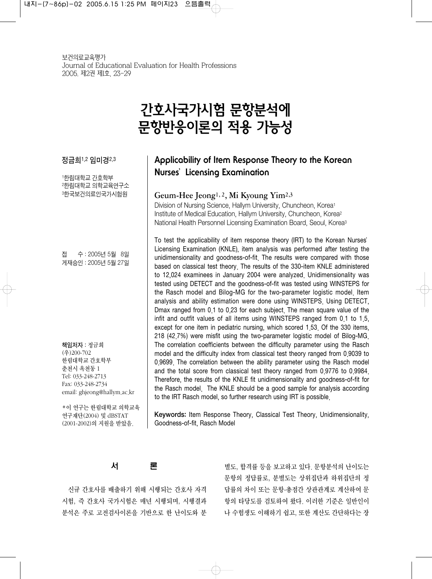# 간호사국가시험 문항분석에 문항반응이론의 적용 가능성

정금희1,2 임미경2,3

1한림대학교 간호학부 2한림대학교 의학교육연구소 3한국보건의료인국가시험원

접 수 : 2005년 5월 28일 게재승인 : 2005년 5월 27일

책임저자 : 정금희 (우)200-702 한림대학교 간호학부 춘천시 옥천동 1 Tel: 033-248-2713 Fax: 033-248-2734 email: ghjeong@hallym.ac.kr

이 연구는 한림대학교 의학교육 연구재단(2004) 및 dBSTAT (2001-2002)의 지원을 받았음.

# **Applicability of Item Response Theory to the Korean Nurses**'**Licensing Examination**

# Geum-Hee Jeong1, 2, Mi Kyoung Yim2,3

Division of Nursing Science, Hallym University, Chuncheon, Korea1 Institute of Medical Education, Hallym University, Chuncheon, Korea2 National Health Personnel Licensing Examination Board, Seoul, Korea3

To test the applicability of item response theory (IRT) to the Korean Nurses' Licensing Examination (KNLE), item analysis was performed after testing the unidimensionality and goodness-of-fit. The results were compared with those based on classical test theory. The results of the 330-item KNLE administered to 12,024 examinees in January 2004 were analyzed. Unidimensionality was tested using DETECT and the goodness-of-fit was tested using WINSTEPS for the Rasch model and Bilog-MG for the two-parameter logistic model Item analysis and ability estimation were done using WINSTEPS. Using DETECT, Dmax ranged from 0.1 to 0.23 for each subject. The mean square value of the infit and outfit values of all items using WINSTEPS ranged from 0.1 to 1.5, except for one item in pediatric nursing, which scored 1.53. Of the 330 items, 218 (42.7%) were misfit using the two-parameter logistic model of Bilog-MG. The correlation coefficients between the difficulty parameter using the Rasch model and the difficulty index from classical test theory ranged from 0.9039 to 0.9699. The correlation between the ability parameter using the Rasch model and the total score from classical test theory ranged from 0.9776 to 0.9984. Therefore, the results of the KNLE fit unidimensionality and goodness-of-fit for the Rasch model. The KNLE should be a good sample for analysis according to the IRT Rasch model, so further research using IRT is possible.

Keywords: Item Response Theory, Classical Test Theory, Unidimensionality, Goodness-of-fit, Rasch Model

서 론

신규 간호사를 배출하기 위해 시행되는 간호사 자격 시험, 즉 간호사 국가시험은 매년 시행되며, 시행결과 분석은 주로 고전검사이론을 기반으로 한 난이도와 분

별도, 합격률 등을 보고하고 있다. 문항분석의 난이도는 문항의 정답률로, 분별도는 상위집단과 하위집단의 정 답률의 차이 또는 문항-총점간 상관관계로 계산하여 문 항의 타당도를 검토하여 왔다. 이러한 기준은 일반인이 나 수험생도 이해하기 쉽고, 또한 계산도 간단하다는 장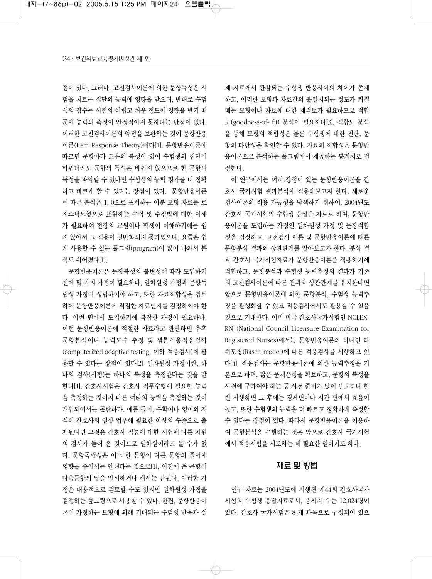점이 있다. 그러나, 고전검사이론에 의한 문항특성은 시 험을 치르는 집단의 능력에 영향을 받으며, 반대로 수험 생의 점수는 시험의 어렵고 쉬운 정도에 영향을 받기 때 문에 능력의 측정이 안정적이지 못하다는 단점이 있다. 이러한 고전검사이론의 약점을 보완하는 것이 문항반응 이론(Item Response Theory)이다[1]. 문항반응이론에 따르면 문항마다 고유의 특성이 있어 수험생의 집단이 바뀌더라도 문항의 특성은 바뀌지 않으므로 한 문항의 특성을 파악할 수 있다면 수험생의 능력 평가를 더 정확 하고 빠르게 할 수 있다는 장점이 있다. 문항반응이론 에 따른 분석은 1, 0으로 표시하는 이분 모형 자료를 로 지스틱모형으로 표현하는 수식 및 추정법에 대한 이해 가 필요하여 현장의 교원이나 학생이 이해하기에는 쉽 지 않아서 그 적용이 일반화되지 못하였으나, 요즘은 쉽 게 사용할 수 있는 풀그림(program)이 많이 나와서 분 석도 쉬어졌다[1].

문항반응이론은 문항특성의 불변성에 따라 도입하기 전에 몇 가지 가정이 필요하다. 일차원성 가정과 문항독 립성 가정이 성립하여야 하고, 또한 자료적합성을 검토 하여 문항반응이론에 적절한 자료인지를 검정하여야 한 다. 이런 면에서 도입하기에 복잡한 과정이 필요하나, 이런 문항반응이론에 적절한 자료라고 판단하면 추후 문항분석이나 능력모수 추정 및 셈틀이용적응검사 (computerized adaptive testing, 이하 적응검사)에 활 용할 수 있다는 장점이 있다[2]. 일차원성 가정이란, 하 나의 검사(시험)는 하나의 특성을 측정한다는 것을 말 한다[1]. 간호사시험은 간호사 직무수행에 필요한 능력 을 측정하는 것이지 다른 여타의 능력을 측정하는 것이 개입되어서는 곤란하다. 예를 들어, 수학이나 영어의 지 식이 간호사의 일상 업무에 필요한 이상의 수준으로 출 제된다면 그것은 간호사 직능에 대한 시험에 다른 차원 의 검사가 들어 온 것이므로 일차원이라고 볼 수가 없 다. 문항독립성은 어느 한 문항이 다른 문항의 풀이에 영향을 주어서는 안된다는 것으로[1], 이전에 푼 문항이 다음문항의 답을 암시하거나 해서는 안된다. 이러한 가 정은 내용적으로 검토할 수도 있지만 일차원성 가정을 검정하는 풀그림으로 사용할 수 있다. 한편, 문항반응이 론이 가정하는 모형에 의해 기대되는 수험생 반응과 실

제 자료에서 관찰되는 수험생 반응사이의 차이가 존재 하고, 이러한 모형과 자료간의 불일치되는 정도가 커질 때는 모형이나 자료에 대한 재검토가 필요하므로 적합 도(goodness-of- fit) 분석이 필요하다[3]. 적합도 분석 을 통해 모형의 적합성은 물론 수험생에 대한 진단, 문 항의 타당성을 확인할 수 있다. 자료의 적합성은 문항반 응이론으로 분석하는 풀그림에서 제공하는 통계치로 검 정한다.

이 연구에서는 여러 장점이 있는 문항반응이론을 간 호사 국가시험 결과분석에 적용해보고자 한다. 새로운 검사이론의 적용 가능성을 탐색하기 위하여, 2004년도 간호사 국가시험의 수험생 응답을 자료로 하여, 문항반 응이론을 도입하는 가정인 일차원성 가정 및 문항적합 성을 검정하고, 고전검사 이론 및 문항반응이론에 따른 문항분석 결과의 상관관계를 알아보고자 한다. 분석 결 과 간호사 국가시험자료가 문항반응이론을 적용하기에 적합하고, 문항분석과 수험생 능력추정의 결과가 기존 의 고전검사이론에 따른 결과와 상관관계를 유지한다면 앞으로 문항반응이론에 의한 문항분석, 수험생 능력추 정을 활성화할 수 있고 적응검사에서도 활용할 수 있을 것으로 기대한다. 이미 미국 간호사국가시험인 NCLEX-RN (National Council Licensure Examination for Registered Nurses)에서는 문항반응이론의 하나인 라 쉬모형(Rasch model)에 따른 적응검사를 시행하고 있 다[4]. 적응검사는 문항반응이론에 의한 능력추정을 기 본으로 하며, 많은 문제은행을 확보하고, 문항의 특성을 사전에 구하여야 하는 등 사전 준비가 많이 필요하나 한 번 시행하면 그 후에는 경제면이나 시간 면에서 효율이 높고, 또한 수험생의 능력을 더 빠르고 정확하게 측정할 수 있다는 장점이 있다. 따라서 문항반응이론을 이용하 여 문항분석을 수행하는 것은 앞으로 간호사 국가시험 에서 적응시험을 시도하는 데 필요한 일이기도 하다.

#### 재료 및 방법

연구 자료는 2004년도에 시행된 제44회 간호사국가 시험의 수험생 응답자료로서, 응시자 수는 12,024명이 었다. 간호사 국가시험은 8 개 과목으로 구성되어 있으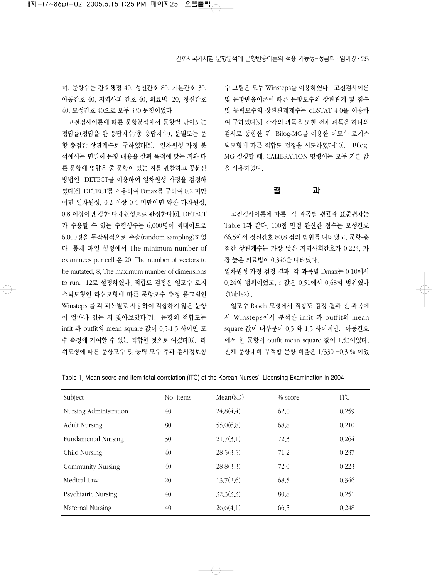며, 문항수는 간호행정 40, 성인간호 80, 기본간호 30, 아동간호 40, 지역사회 간호 40, 의료법 20, 정신간호 40, 모성간호 40으로 모두 330 문항이었다.

고전검사이론에 따른 문항분석에서 문항별 난이도는 정답률(정답을 한 응답자수/총 응답자수), 분별도는 문 항-총점간 상관계수로 구하였다[5]. 일차원성 가정 분 석에서는 면밀히 문항 내용을 살펴 목적에 맞는 지와 다 른 문항에 영향을 줄 문항이 있는 지를 관찰하고 공분산 방법인 DETECT를 이용하여 일차원성 가정을 검정하 였다[6]. DETECT를 이용하여 Dmax를 구하여 0.2 미만 이면 일차원성, 0.2 이상 0.4 미만이면 약한 다차원성, 0.8 이상이면 강한 다차원성으로 판정한다[6]. DETECT 가 수용할 수 있는 수험생수는 6,000명이 최대이므로 6,000명을 무작위적으로 추출(random sampling)하였 다. 통제 파일 설정에서 The minimum number of examinees per cell 은 20, The number of vectors to be mutated, 8, The maximum number of dimensions to run, 12로 설정하였다. 적합도 검정은 일모수 로지 스틱모형인 라쉬모형에 따른 문항모수 추정 풀그림인 Winsteps 를 각 과목별로 사용하여 적합하지 않은 문항 이 얼마나 있는 지 찾아보았다[7]. 문항의 적합도는 infit 과 outfit의 mean square 값이 0.5-1.5 사이면 모 수 측정에 기여할 수 있는 적합한 것으로 여겼다[8]. 라 쉬모형에 따른 문항모수 및 능력 모수 추과 검사정보함

수 그림은 모두 Winsteps를 이용하였다. 고전검사이론 및 문항반응이론에 따른 문항모수의 상관관계 및 점수 및 능력모수의 상관관계계수는 dBSTAT 4.0을 이용하 여 구하였다[9]. 각각의 과목을 또한 전체 과목을 하나의 검사로 통합한 뒤, Bilog-MG를 이용한 이모수 로지스 틱모형에 따른 적합도 검정을 시도하였다[10]. Bilog-MG 실행할 때, CALIBRATION 명령어는 모두 기본 값 을 사용하였다.

#### 결 과

고전검사이론에 따른 각 과목별 평균과 표준편차는 Table 1과 같다. 100점 만점 환산한 점수는 모성간호 66.5에서 정신간호 80.8 점의 범위를 나타냈고, 문항-총 점간 상관계수는 가장 낮은 지역사회간호가 0.223, 가 장 높은 의료법이 0.346을 나타냈다.

일차원성 가정 검정 결과 각 과목별 Dmax는 0.10에서 0.24의 범위이었고, r 값은 0.51에서 0.68의 범위였다 <Table2>.

일모수 Rasch 모형에서 적합도 검정 결과 전 과목에 서 Winsteps에서 분석한 infit 과 outfit의 mean square 값이 대부분이 0.5 와 1.5 사이지만, 아동간호 에서 한 문항이 outfit mean square 값이 1.53이었다. 전체 문항대비 부적합 문항 비율은 1/330 =0.3 % 이었

Table 1. Mean score and item total correlation (ITC) of the Korean Nurses'Licensing Examination in 2004

| Subject                  | No items | Mean(SD)  | % score | <b>ITC</b> |
|--------------------------|----------|-----------|---------|------------|
| Nursing Administration   | 40       | 24.8(4.4) | 62.0    | 0.259      |
| <b>Adult Nursing</b>     | 80       | 55.0(6.8) | 68.8    | 0.210      |
| Fundamental Nursing      | 30       | 21.7(3.1) | 72.3    | 0.264      |
| Child Nursing            | 40       | 28,5(3,5) | 71.2    | 0.237      |
| <b>Community Nursing</b> | 40       | 28.8(3.3) | 72.0    | 0.223      |
| Medical Law              | 20       | 13,7(2,6) | 68.5    | 0.346      |
| Psychiatric Nursing      | 40       | 32.3(3.3) | 80.8    | 0.251      |
| Maternal Nursing         | 40       | 26.6(4.1) | 66.5    | 0.248      |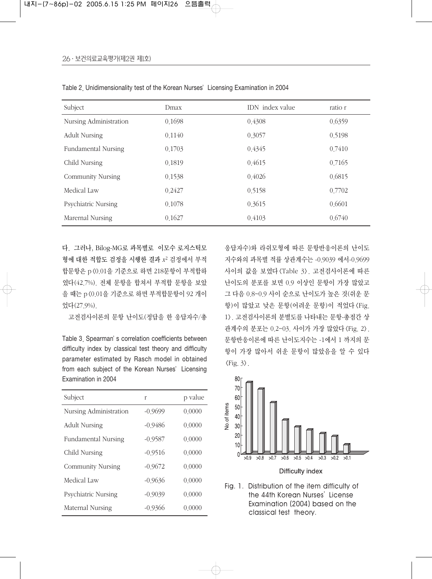| Subject                  | Dmax   | IDN index value | ratio r |
|--------------------------|--------|-----------------|---------|
| Nursing Administration   | 0.1698 | 0.4308          | 0.6359  |
| <b>Adult Nursing</b>     | 0.1140 | 0.3057          | 0.5198  |
| Fundamental Nursing      | 0.1703 | 0.4345          | 0.7410  |
| Child Nursing            | 0.1819 | 0.4615          | 0.7165  |
| <b>Community Nursing</b> | 0.1538 | 0.4026          | 0.6815  |
| Medical Law              | 0.2427 | 0.5158          | 0.7702  |
| Psychiatric Nursing      | 0.1078 | 0.3615          | 0.6601  |
| Marernal Nursing         | 0.1627 | 0.4103          | 0.6740  |

Table 2. Unidimensionality test of the Korean Nurses'Licensing Examination in 2004

다. 그러나, Bilog-MG로 과목별로 이모수 로지스틱모 형에 대한 적합도 검정을 시행한 결과 *x*<sup>2</sup> 검정에서 부적 합문항은 p<0.01을 기준으로 하면 218문항이 부적합하 였다(42.7%). 전체 문항을 합쳐서 부적합 문항을 보았 을 때는 p<0.01을 기준으로 하면 부적합문항이 92 개이 었다(27.9%).

고전검사이론의 문항 난이도(정답을 한 응답자수/총

Table 3. Spearman's correlation coefficients between difficulty index by classical test theory and difficulty parameter estimated by Rasch model in obtained from each subject of the Korean Nurses' Licensing Examination in 2004

| Subject                  | r         | p value |
|--------------------------|-----------|---------|
| Nursing Administration   | $-0.9699$ | 0.0000  |
| <b>Adult Nursing</b>     | $-0.9486$ | 0.0000  |
| Fundamental Nursing      | $-0.9587$ | 0.0000  |
| Child Nursing            | $-0.9516$ | 0.0000  |
| <b>Community Nursing</b> | $-0.9672$ | 0.0000  |
| Medical Law              | $-0.9636$ | 0.0000  |
| Psychiatric Nursing      | $-0.9039$ | 0.0000  |
| Maternal Nursing         | $-0.9366$ | 0.0000  |

응답자수)와 라쉬모형에 따른 문항반응이론의 난이도 지수와의 과목별 적률 상관계수는 -0.9039 에서-0.9699 사이의 값을 보였다<Table 3>. 고전검사이론에 따른 난이도의 분포를 보면 0.9 이상인 문항이 가장 많았고 그 다음 0.8~0.9 사이 순으로 난이도가 높은 것(쉬운 문 항)이 많았고 낮은 문항(어려운 문항)이 적었다<Fig. 1>. 고전검사이론의 분별도를 나타내는 문항-총점간 상 관계수의 분포는 0.2~03. 사이가 가장 많았다 <Fig. 2>. 문항반응이론에 따른 난이도지수는 -1에서 1 까지의 문 항이 가장 많아서 쉬운 문항이 많았음을 알 수 있다  $\langle$ Fig. 3 $\rangle$ .



Fig. 1. Distribution of the item difficulty of the 44th Korean Nurses'License Examination (2004) based on the classical test theory.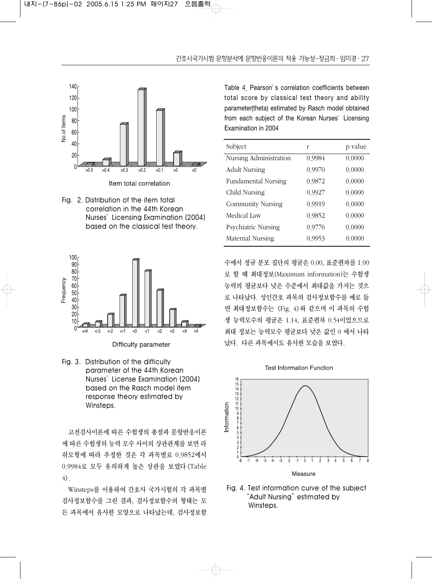

Fig. 2. Distribution of the item total correlation in the 44th Korean Nurses'Licensing Examination (2004) based on the classical test theory.



Difficulty parameter

Fig. 3. Distribution of the difficulty parameter of the 44th Korean Nurses'License Examination (2004) based on the Rasch model item response theory estimated by Winsteps.

고전검사이론에 따른 수험생의 총점과 문항반응이론 에 따른 수험생의 능력 모수 사이의 상관관계를 보면 라 쉬모형에 따라 추정한 것은 각 과목별로 0.9852에서 0.9984로 모두 유의하게 높은 상관을 보였다<Table  $4$ .

Winsteps를 이용하여 간호사 국가시험의 각 과목별 검사정보함수를 그린 결과, 검사정보함수의 형태는 모 든 과목에서 유사한 모양으로 나타났는데, 검사정보함 Table 4. Pearson's correlation coefficients between total score by classical test theory and ability parameter(theta) estimated by Rasch model obtained from each subject of the Korean Nurses' Licensing Examination in 2004

| Subject                  | r      | p value |
|--------------------------|--------|---------|
| Nursing Administration   | 0.9984 | 0.0000  |
| <b>Adult Nursing</b>     | 0.9970 | 0.0000  |
| Fundamental Nursing      | 0.9872 | 0,0000  |
| Child Nursing            | 0.9927 | 0.0000  |
| <b>Community Nursing</b> | 0.9919 | 0.0000  |
| Medical Law              | 0.9852 | 0.0000  |
| Psychiatric Nursing      | 0.9776 | 0,0000  |
| Maternal Nursing         | 0.9953 | 0.0000  |

수에서 정규 분포 집단의 평균은 0.00, 표준편차를 1.00 로 할 때 최대정보(Maximum information)는 수험생 능력의 평균보다 낮은 수준에서 최대값을 가지는 것으 로 나타났다. 성인간호 과목의 검사정보함수를 예로 들 면 최대정보함수는 <Fig. 4>와 같으며 이 과목의 수험 생 능력모수의 평균은 1.14, 표준편차 0.54이었으므로 최대 정보는 능력모수 평균보다 낮은 값인 0 에서 나타 났다. 다른 과목에서도 유사한 모습을 보였다.



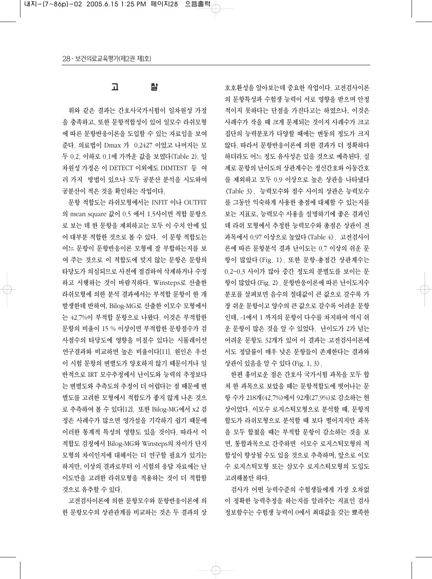## 고 찰

위와 같은 결과는 간호사국가시험이 일차원성 가정 을 충족하고, 또한 문항적합성이 있어 일모수 라쉬모형 에 따른 문항반응이론을 도입할 수 있는 자료임을 보여 준다. 의료법이 Dmax 가 0.2427 이었고 나머지는 모 두 0.2. 이하로 0.1에 가까운 값을 보였다(Table 2). 일 차원성 가정은 이 DETECT 이외에도 DIMTEST 등 여 러 가지 방법이 있으나 모두 공분산 분석을 시도하여 공분산이 적은 것을 확인하는 작업이다.

문항 적합도는 라쉬모형에서는 INFIT 이나 OUTFIT 의 mean square 값이 0.5 에서 1.5사이면 적합 문항으 로 보는 데 한 문항을 제외하고는 모두 이 수치 안에 있 어 대부분 적합한 것으로 볼 수 있다. 이 문항 적합도는 어느 문항이 문항반응이론 모형에 잘 부합하는지를 보 여 주는 것으로 이 적합도에 맞지 않는 문항은 문항의 타당도가 의심되므로 사전에 점검하여 삭제하거나 수정 하고 시행하는 것이 바람직하다. Winsteps로 산출한 라쉬모형에 의한 분석 결과에서는 부적합 문항이 한 개 발생한데 반하여, Bilog-MG로 산출한 이모수 모형에서 는 42.7%이 부적합 문항으로 나왔다. 이것은 부적합한 문항의 비율이 15 % 이상이면 부적합한 문항점수가 검 사점수의 타당도에 영향을 미칠수 있다는 시뮬레이션 연구결과와 비교하면 높은 비율이다[11]. 원인은 우선 이 시험 문항의 변별도가 양호하지 않기 때문이거나 일 반적으로 IRT 모수추정에서 난이도와 능력의 추정보다 는 변별도와 추측도의 추정이 더 어렵다는 점 때문에 변 별도를 고려한 모형에서 적합도가 좋지 않게 나온 것으 로 추측하여 볼 수 있다[12]. 또한 Bilog-MG에서 x2 검 정은 사례수가 많으면 영가설을 기각하기 쉽기 때문에 이러한 통계적 특성의 영향도 있을 것이다. 따라서 이 적합도 검정에서 Bilog-MG와 Winsteps의 차이가 단지 모형의 차이인지에 대해서는 더 연구할 필요가 있기는 하지만, 이상의 결과로부터 이 시험의 응답 자료에는 난 이도만을 고려한 라쉬모형을 적용하는 것이 더 적합할 것으로 유추할 수 있다.

고전검사이론에 의한 문항모수와 문항반응이론에 의 한 문항모수의 상관관계를 비교하는 것은 두 결과의 상

호호환성을 알아보는데 중요한 작업이다. 고전검사이론 의 문항특성과 수험생 능력이 서로 영향을 받으며 안정 적이지 못하다는 단점을 가진다고는 하였으나, 이것은 사례수가 작을 때 크게 문제되는 것이지 사례수가 크고 집단의 능력분포가 다양할 때에는 변동의 정도가 크지 않다. 따라서 문항반응이론에 의한 결과가 더 정확하다 하더라도 어느 정도 유사성은 있을 것으로 예측된다. 실 제로 문항의 난이도의 상관계수는 정신간호와 아동간호 를 제외하고 모두 0.9 이상으로 높은 상관을 나타냈다 <Table 3>. 능력모수와 점수 사이의 상관은 능력모수 를 그동안 익숙하게 사용한 총점에 대체할 수 있는지를 보는 지표로, 능력모수 사용을 설명하기에 좋은 결과인 데 라쉬 모형에서 추정한 능력모수와 총점은 상관이 전 과목에서 0.97 이상으로 높았다<Table 4>. 고전검사이 론에 따른 문항분석 결과 난이도는 0.7 이상의 쉬운 문 항이 많았다<Fig. 1>. 또한 문항-총점간 상관계수는 0.2~0.3 사이가 많아 중간 정도의 분별도를 보이는 문 항이 많았다 〈Fig. 2〉. 문항반응이론에 따른 난이도지수 분포를 살펴보면 음수의 절대값이 큰 값으로 갈수록 가 장 쉬운 문항이고 양수의 큰 값으로 갈수록 어려운 문항 인데, -1에서 1 까지의 문항이 다수를 차지하여 역시 쉬 운 문항이 많은 것을 알 수 있었다. 난이도가 2가 넘는 어려운 문항도 32개가 있어 이 결과는 고전검사이론에 서도 정답률이 매우 낮은 문항들이 존재한다는 결과와 상관이 있음을 알 수 있다<Fig. 1, 3>.

한편 흥미로운 점은 간호사 국가시험 과목을 모두 합 쳐 한 과목으로 보았을 때는 문항적합도에 벗어나는 문 항 수가 218개(42.7%)에서 92개(27.9%)로 감소하는 현 상이었다. 이모수 로지스틱모형으로 분석할 때, 문항적 합도가 라쉬모형으로 분석할 때 보다 떨어지지만 과목 을 모두 합쳤을 때는 부적합 문항이 감소하는 것을 보 면, 통합과목으로 간주하면 이모수 로지스틱모형의 적 합성이 향상될 수도 있을 것으로 추측하며, 앞으로 이모 수 로지스틱모형 또는 삼모수 로지스틱모형의 도입도 고려해볼만 하다.

검사가 어떤 능력수준의 수험생들에게 가장 오차없 이 정확한 능력추정을 하는지를 알려주는 지표인 검사 정보함수는 수험생 능력이 0에서 최대값을 갖는 뾰족한